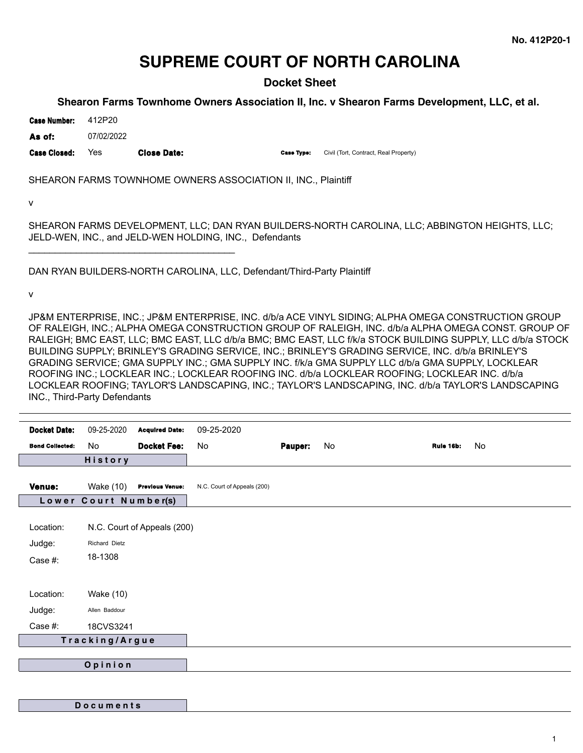# **SUPREME COURT OF NORTH CAROLINA**

**Docket Sheet**

# **Shearon Farms Townhome Owners Association II, Inc. v Shearon Farms Development, LLC, et al.**

**Case Number:** 412P20

**As of:** 07/02/2022

Case Closed: Yes **Close Date: Case Type: Civil (Tort, Contract, Real Property)** 

\_\_\_\_\_\_\_\_\_\_\_\_\_\_\_\_\_\_\_\_\_\_\_\_\_\_\_\_\_\_\_\_\_\_\_\_\_\_\_

SHEARON FARMS TOWNHOME OWNERS ASSOCIATION II, INC., Plaintiff

v

SHEARON FARMS DEVELOPMENT, LLC; DAN RYAN BUILDERS-NORTH CAROLINA, LLC; ABBINGTON HEIGHTS, LLC; JELD-WEN, INC., and JELD-WEN HOLDING, INC., Defendants

DAN RYAN BUILDERS-NORTH CAROLINA, LLC, Defendant/Third-Party Plaintiff

v

JP&M ENTERPRISE, INC.; JP&M ENTERPRISE, INC. d/b/a ACE VINYL SIDING; ALPHA OMEGA CONSTRUCTION GROUP OF RALEIGH, INC.; ALPHA OMEGA CONSTRUCTION GROUP OF RALEIGH, INC. d/b/a ALPHA OMEGA CONST. GROUP OF RALEIGH; BMC EAST, LLC; BMC EAST, LLC d/b/a BMC; BMC EAST, LLC f/k/a STOCK BUILDING SUPPLY, LLC d/b/a STOCK BUILDING SUPPLY; BRINLEY'S GRADING SERVICE, INC.; BRINLEY'S GRADING SERVICE, INC. d/b/a BRINLEY'S GRADING SERVICE; GMA SUPPLY INC.; GMA SUPPLY INC. f/k/a GMA SUPPLY LLC d/b/a GMA SUPPLY, LOCKLEAR ROOFING INC.; LOCKLEAR INC.; LOCKLEAR ROOFING INC. d/b/a LOCKLEAR ROOFING; LOCKLEAR INC. d/b/a LOCKLEAR ROOFING; TAYLOR'S LANDSCAPING, INC.; TAYLOR'S LANDSCAPING, INC. d/b/a TAYLOR'S LANDSCAPING INC., Third-Party Defendants

| <b>Docket Date:</b>    | 09-25-2020     | <b>Acquired Date:</b>       | 09-25-2020                  |         |    |           |    |
|------------------------|----------------|-----------------------------|-----------------------------|---------|----|-----------|----|
| <b>Bond Collected:</b> | No             | <b>Docket Fee:</b>          | No                          | Pauper: | No | Rule 16b: | No |
|                        | <b>History</b> |                             |                             |         |    |           |    |
| Venue:                 | Wake (10)      | <b>Previous Venue:</b>      | N.C. Court of Appeals (200) |         |    |           |    |
| Lower Court Number(s)  |                |                             |                             |         |    |           |    |
| Location:              |                | N.C. Court of Appeals (200) |                             |         |    |           |    |
| Judge:                 | Richard Dietz  |                             |                             |         |    |           |    |
| Case #:                | 18-1308        |                             |                             |         |    |           |    |
| Location:              | Wake (10)      |                             |                             |         |    |           |    |
| Judge:                 | Allen Baddour  |                             |                             |         |    |           |    |
| Case #:                | 18CVS3241      |                             |                             |         |    |           |    |
| Tracking/Argue         |                |                             |                             |         |    |           |    |
| Opinion                |                |                             |                             |         |    |           |    |
|                        |                |                             |                             |         |    |           |    |

**D o c u m e n t s**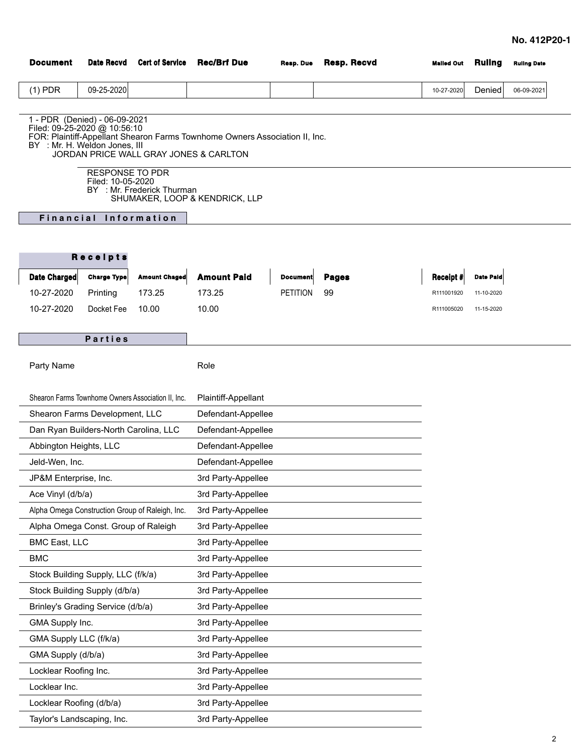| <b>Document</b>                                                                                | <b>Date Recvd</b>                           | <b>Cert of Service</b>                 | <b>Rec/Brf Due</b>                                                          | Resp. Due       | Resp. Recvd  | <b>Malled Out</b> | <b>Ruling</b>    | <b>Ruling Date</b> |
|------------------------------------------------------------------------------------------------|---------------------------------------------|----------------------------------------|-----------------------------------------------------------------------------|-----------------|--------------|-------------------|------------------|--------------------|
| $(1)$ PDR                                                                                      | 09-25-2020                                  |                                        |                                                                             |                 |              | 10-27-2020        | Denied           | 06-09-2021         |
|                                                                                                |                                             |                                        |                                                                             |                 |              |                   |                  |                    |
| 1 - PDR (Denied) - 06-09-2021<br>Filed: 09-25-2020 @ 10:56:10<br>BY : Mr. H. Weldon Jones. III |                                             | JORDAN PRICE WALL GRAY JONES & CARLTON | FOR: Plaintiff-Appellant Shearon Farms Townhome Owners Association II, Inc. |                 |              |                   |                  |                    |
|                                                                                                | <b>RESPONSE TO PDR</b><br>Filed: 10-05-2020 | BY : Mr. Frederick Thurman             | SHUMAKER, LOOP & KENDRICK, LLP                                              |                 |              |                   |                  |                    |
|                                                                                                | Financial Information                       |                                        |                                                                             |                 |              |                   |                  |                    |
|                                                                                                |                                             |                                        |                                                                             |                 |              |                   |                  |                    |
|                                                                                                | Receipts                                    |                                        |                                                                             |                 |              |                   |                  |                    |
| Date Charged                                                                                   | <b>Charge Type</b>                          | <b>Amount Chaged</b>                   | <b>Amount Paid</b>                                                          | <b>Document</b> | <b>Pages</b> | Receipt #         | <b>Date Pald</b> |                    |
| 10-27-2020                                                                                     | Printing                                    | 173.25                                 | 173.25                                                                      | <b>PETITION</b> | 99           | R111001920        | 11-10-2020       |                    |
| 10-27-2020                                                                                     | Docket Fee                                  | 10.00                                  | 10.00                                                                       |                 |              | R111005020        | 11-15-2020       |                    |
|                                                                                                |                                             |                                        |                                                                             |                 |              |                   |                  |                    |
| Parties                                                                                        |                                             |                                        |                                                                             |                 |              |                   |                  |                    |
| Party Name                                                                                     |                                             |                                        | Role                                                                        |                 |              |                   |                  |                    |
|                                                                                                |                                             |                                        |                                                                             |                 |              |                   |                  |                    |
| Shearon Farms Townhome Owners Association II, Inc.                                             |                                             |                                        | Plaintiff-Appellant                                                         |                 |              |                   |                  |                    |
| Shearon Farms Development, LLC                                                                 |                                             |                                        | Defendant-Appellee                                                          |                 |              |                   |                  |                    |
| Dan Ryan Builders-North Carolina, LLC                                                          |                                             |                                        | Defendant-Appellee                                                          |                 |              |                   |                  |                    |
| Abbington Heights, LLC                                                                         |                                             |                                        | Defendant-Appellee                                                          |                 |              |                   |                  |                    |
| Jeld-Wen, Inc.                                                                                 |                                             |                                        | Defendant-Appellee                                                          |                 |              |                   |                  |                    |
| JP&M Enterprise, Inc.                                                                          |                                             |                                        | 3rd Party-Appellee                                                          |                 |              |                   |                  |                    |
| Ace Vinyl (d/b/a)                                                                              |                                             |                                        | 3rd Party-Appellee                                                          |                 |              |                   |                  |                    |
| Alpha Omega Construction Group of Raleigh, Inc.                                                |                                             |                                        | 3rd Party-Appellee                                                          |                 |              |                   |                  |                    |
| Alpha Omega Const. Group of Raleigh                                                            |                                             |                                        | 3rd Party-Appellee                                                          |                 |              |                   |                  |                    |
| <b>BMC East, LLC</b>                                                                           |                                             |                                        | 3rd Party-Appellee                                                          |                 |              |                   |                  |                    |
| <b>BMC</b>                                                                                     |                                             |                                        | 3rd Party-Appellee                                                          |                 |              |                   |                  |                    |
| Stock Building Supply, LLC (f/k/a)                                                             |                                             |                                        | 3rd Party-Appellee                                                          |                 |              |                   |                  |                    |
| Stock Building Supply (d/b/a)                                                                  |                                             |                                        | 3rd Party-Appellee                                                          |                 |              |                   |                  |                    |
| Brinley's Grading Service (d/b/a)                                                              |                                             |                                        | 3rd Party-Appellee                                                          |                 |              |                   |                  |                    |
| GMA Supply Inc.                                                                                |                                             |                                        | 3rd Party-Appellee                                                          |                 |              |                   |                  |                    |
| GMA Supply LLC (f/k/a)                                                                         |                                             |                                        | 3rd Party-Appellee                                                          |                 |              |                   |                  |                    |
| GMA Supply (d/b/a)                                                                             |                                             |                                        | 3rd Party-Appellee                                                          |                 |              |                   |                  |                    |
| Locklear Roofing Inc.                                                                          |                                             |                                        | 3rd Party-Appellee                                                          |                 |              |                   |                  |                    |
| Locklear Inc.                                                                                  |                                             |                                        | 3rd Party-Appellee                                                          |                 |              |                   |                  |                    |
| Locklear Roofing (d/b/a)                                                                       |                                             |                                        | 3rd Party-Appellee                                                          |                 |              |                   |                  |                    |

Taylor's Landscaping, Inc. 3rd Party-Appellee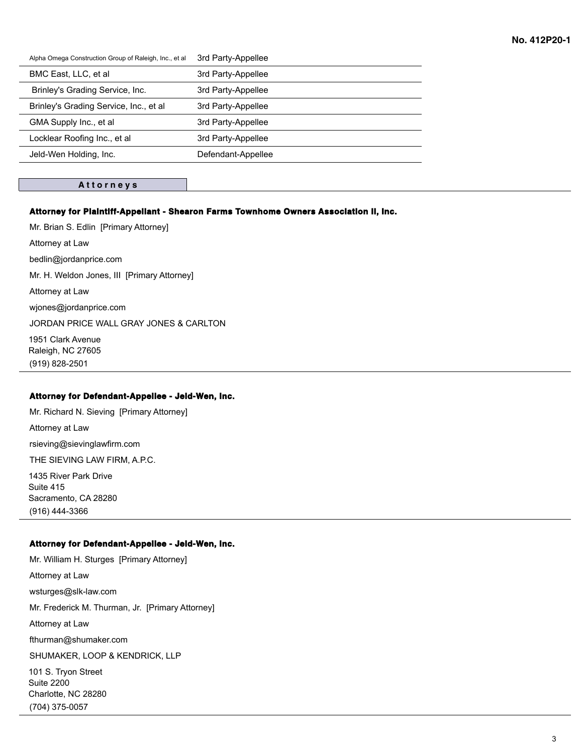| Alpha Omega Construction Group of Raleigh, Inc., et al | 3rd Party-Appellee |
|--------------------------------------------------------|--------------------|
| BMC East, LLC, et al.                                  | 3rd Party-Appellee |
| Brinley's Grading Service, Inc.                        | 3rd Party-Appellee |
| Brinley's Grading Service, Inc., et al.                | 3rd Party-Appellee |
| GMA Supply Inc., et al.                                | 3rd Party-Appellee |
| Locklear Roofing Inc., et al                           | 3rd Party-Appellee |
| Jeld-Wen Holding, Inc.                                 | Defendant-Appellee |
|                                                        |                    |

## **A t t o r n e y s**

# **Attorney for Plaintiff-Appellant - Shearon Farms Townhome Owners Association II, Inc.**

Mr. Brian S. Edlin [Primary Attorney] Attorney at Law bedlin@jordanprice.com Mr. H. Weldon Jones, III [Primary Attorney] Attorney at Law wjones@jordanprice.com JORDAN PRICE WALL GRAY JONES & CARLTON 1951 Clark Avenue

Raleigh, NC 27605 (919) 828-2501

#### **Attorney for Defendant-Appellee - Jeld-Wen, Inc.**

Mr. Richard N. Sieving [Primary Attorney] Attorney at Law rsieving@sievinglawfirm.com THE SIEVING LAW FIRM, A.P.C. 1435 River Park Drive Suite 415 Sacramento, CA 28280 (916) 444-3366

## **Attorney for Defendant-Appellee - Jeld-Wen, Inc.**

Mr. William H. Sturges [Primary Attorney] Attorney at Law wsturges@slk-law.com Mr. Frederick M. Thurman, Jr. [Primary Attorney] Attorney at Law fthurman@shumaker.com SHUMAKER, LOOP & KENDRICK, LLP 101 S. Tryon Street

Suite 2200 Charlotte, NC 28280 (704) 375-0057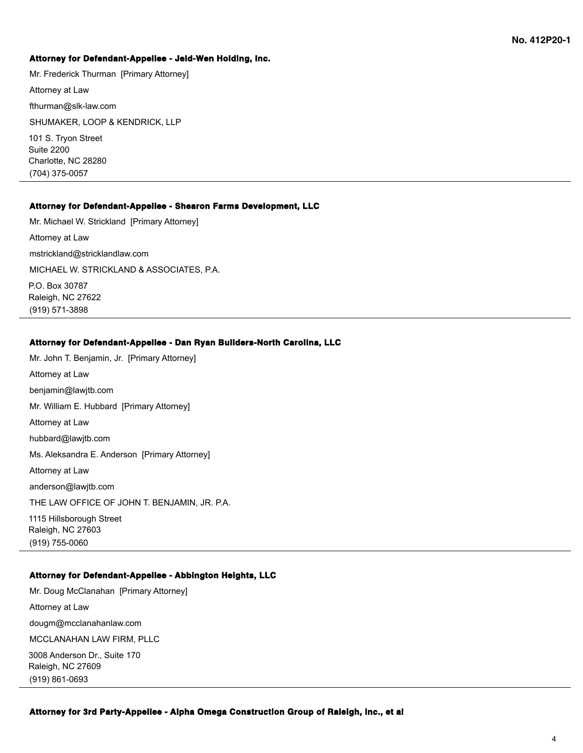## **Attorney for Defendant-Appellee - Jeld-Wen Holding, Inc.**

Mr. Frederick Thurman [Primary Attorney]

Attorney at Law

fthurman@slk-law.com

SHUMAKER, LOOP & KENDRICK, LLP

101 S. Tryon Street Suite 2200 Charlotte, NC 28280 (704) 375-0057

#### **Attorney for Defendant-Appellee - Shearon Farms Development, LLC**

Mr. Michael W. Strickland [Primary Attorney] Attorney at Law mstrickland@stricklandlaw.com MICHAEL W. STRICKLAND & ASSOCIATES, P.A. P.O. Box 30787 Raleigh, NC 27622 (919) 571-3898

## **Attorney for Defendant-Appellee - Dan Ryan Builders-North Carolina, LLC**

Mr. John T. Benjamin, Jr. [Primary Attorney] Attorney at Law benjamin@lawjtb.com Mr. William E. Hubbard [Primary Attorney] Attorney at Law hubbard@lawjtb.com Ms. Aleksandra E. Anderson [Primary Attorney] Attorney at Law anderson@lawjtb.com THE LAW OFFICE OF JOHN T. BENJAMIN, JR. P.A. 1115 Hillsborough Street Raleigh, NC 27603 (919) 755-0060

# **Attorney for Defendant-Appellee - Abbington Heights, LLC**

Mr. Doug McClanahan [Primary Attorney] Attorney at Law dougm@mcclanahanlaw.com MCCLANAHAN LAW FIRM, PLLC 3008 Anderson Dr., Suite 170 Raleigh, NC 27609 (919) 861-0693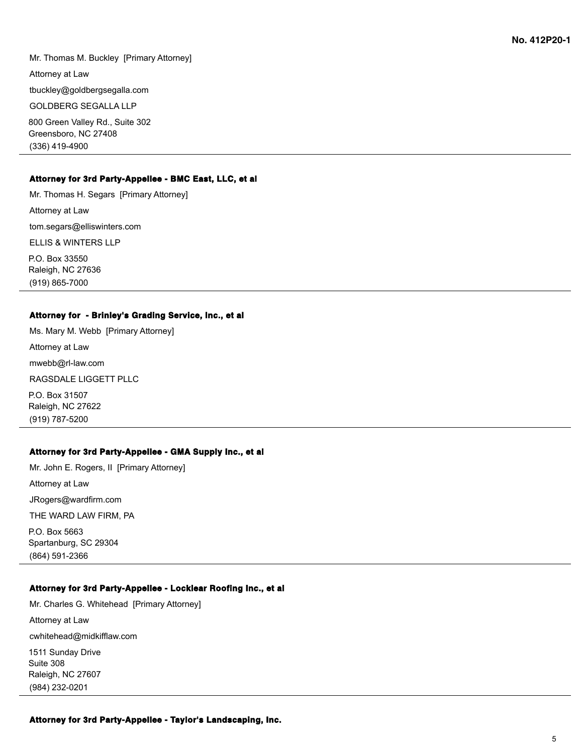Mr. Thomas M. Buckley [Primary Attorney] Attorney at Law tbuckley@goldbergsegalla.com GOLDBERG SEGALLA LLP 800 Green Valley Rd., Suite 302 Greensboro, NC 27408

### **Attorney for 3rd Party-Appellee - BMC East, LLC, et al**

Mr. Thomas H. Segars [Primary Attorney] Attorney at Law tom.segars@elliswinters.com ELLIS & WINTERS LLP P.O. Box 33550 Raleigh, NC 27636 (919) 865-7000

### **Attorney for - Brinley's Grading Service, Inc., et al**

Ms. Mary M. Webb [Primary Attorney] Attorney at Law mwebb@rl-law.com RAGSDALE LIGGETT PLLC P.O. Box 31507

Raleigh, NC 27622 (919) 787-5200

(336) 419-4900

# **Attorney for 3rd Party-Appellee - GMA Supply Inc., et al**

Mr. John E. Rogers, II [Primary Attorney] Attorney at Law JRogers@wardfirm.com THE WARD LAW FIRM, PA P.O. Box 5663 Spartanburg, SC 29304 (864) 591-2366

# **Attorney for 3rd Party-Appellee - Locklear Roofing Inc., et al**

Mr. Charles G. Whitehead [Primary Attorney] Attorney at Law cwhitehead@midkifflaw.com 1511 Sunday Drive Suite 308 Raleigh, NC 27607 (984) 232-0201